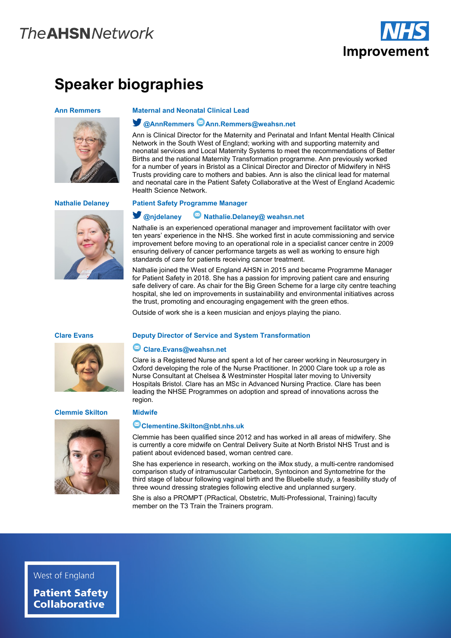# **The AHSN Network**



# **Speaker biographies**

### **Ann Remmers Maternal and Neonatal Clinical Lead**





# **Nathalie Delaney Patient Safety Programme Manager**

Health Science Network.

# **@njdelaney Nathalie.Delaney@ weahsn.net**

**@AnnRemmers Ann.Remmers@weahsn.net**

Nathalie is an experienced operational manager and improvement facilitator with over ten years' experience in the NHS. She worked first in acute commissioning and service improvement before moving to an operational role in a specialist cancer centre in 2009 ensuring delivery of cancer performance targets as well as working to ensure high standards of care for patients receiving cancer treatment.

Ann is Clinical Director for the Maternity and Perinatal and Infant Mental Health Clinical Network in the South West of England; working with and supporting maternity and neonatal services and Local Maternity Systems to meet the recommendations of Better Births and the national Maternity Transformation programme. Ann previously worked for a number of years in Bristol as a Clinical Director and Director of Midwifery in NHS Trusts providing care to mothers and babies. Ann is also the clinical lead for maternal and neonatal care in the Patient Safety Collaborative at the West of England Academic

Nathalie joined the West of England AHSN in 2015 and became Programme Manager for Patient Safety in 2018. She has a passion for improving patient care and ensuring safe delivery of care. As chair for the Big Green Scheme for a large city centre teaching hospital, she led on improvements in sustainability and environmental initiatives across the trust, promoting and encouraging engagement with the green ethos.

Outside of work she is a keen musician and enjoys playing the piano.



## **Clare Evans Deputy Director of Service and System Transformation**

# **Clare.Evans@weahsn.net**

**Clementine.Skilton@nbt.nhs.uk**

Clare is a Registered Nurse and spent a lot of her career working in Neurosurgery in Oxford developing the role of the Nurse Practitioner. In 2000 Clare took up a role as Nurse Consultant at Chelsea & Westminster Hospital later moving to University Hospitals Bristol. Clare has an MSc in Advanced Nursing Practice. Clare has been leading the NHSE Programmes on adoption and spread of innovations across the region.

## **Clemmie Skilton Midwife**



### Clemmie has been qualified since 2012 and has worked in all areas of midwifery. She is currently a core midwife on Central Delivery Suite at North Bristol NHS Trust and is patient about evidenced based, woman centred care.

She has experience in research, working on the iMox study, a multi-centre randomised comparison study of intramuscular Carbetocin, Syntocinon and Syntometrine for the third stage of labour following vaginal birth and the Bluebelle study, a feasibility study of three wound dressing strategies following elective and unplanned surgery.

She is also a PROMPT (PRactical, Obstetric, Multi-Professional, Training) faculty member on the T3 Train the Trainers program.

# West of England

**Patient Safety Collaborative**